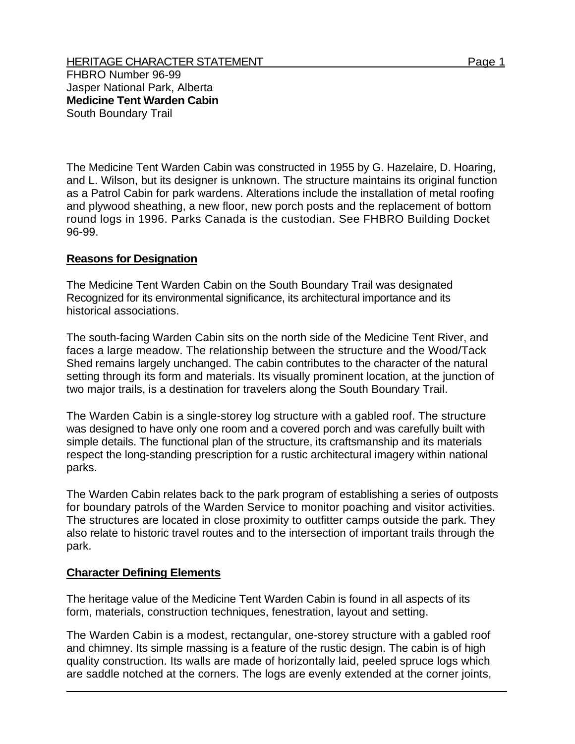The Medicine Tent Warden Cabin was constructed in 1955 by G. Hazelaire, D. Hoaring, and L. Wilson, but its designer is unknown. The structure maintains its original function as a Patrol Cabin for park wardens. Alterations include the installation of metal roofing and plywood sheathing, a new floor, new porch posts and the replacement of bottom round logs in 1996. Parks Canada is the custodian. See FHBRO Building Docket 96-99.

## **Reasons for Designation**

The Medicine Tent Warden Cabin on the South Boundary Trail was designated Recognized for its environmental significance, its architectural importance and its historical associations.

The south-facing Warden Cabin sits on the north side of the Medicine Tent River, and faces a large meadow. The relationship between the structure and the Wood/Tack Shed remains largely unchanged. The cabin contributes to the character of the natural setting through its form and materials. Its visually prominent location, at the junction of two major trails, is a destination for travelers along the South Boundary Trail.

The Warden Cabin is a single-storey log structure with a gabled roof. The structure was designed to have only one room and a covered porch and was carefully built with simple details. The functional plan of the structure, its craftsmanship and its materials respect the long-standing prescription for a rustic architectural imagery within national parks.

The Warden Cabin relates back to the park program of establishing a series of outposts for boundary patrols of the Warden Service to monitor poaching and visitor activities. The structures are located in close proximity to outfitter camps outside the park. They also relate to historic travel routes and to the intersection of important trails through the park.

## **Character Defining Elements**

The heritage value of the Medicine Tent Warden Cabin is found in all aspects of its form, materials, construction techniques, fenestration, layout and setting.

The Warden Cabin is a modest, rectangular, one-storey structure with a gabled roof and chimney. Its simple massing is a feature of the rustic design. The cabin is of high quality construction. Its walls are made of horizontally laid, peeled spruce logs which are saddle notched at the corners. The logs are evenly extended at the corner joints,